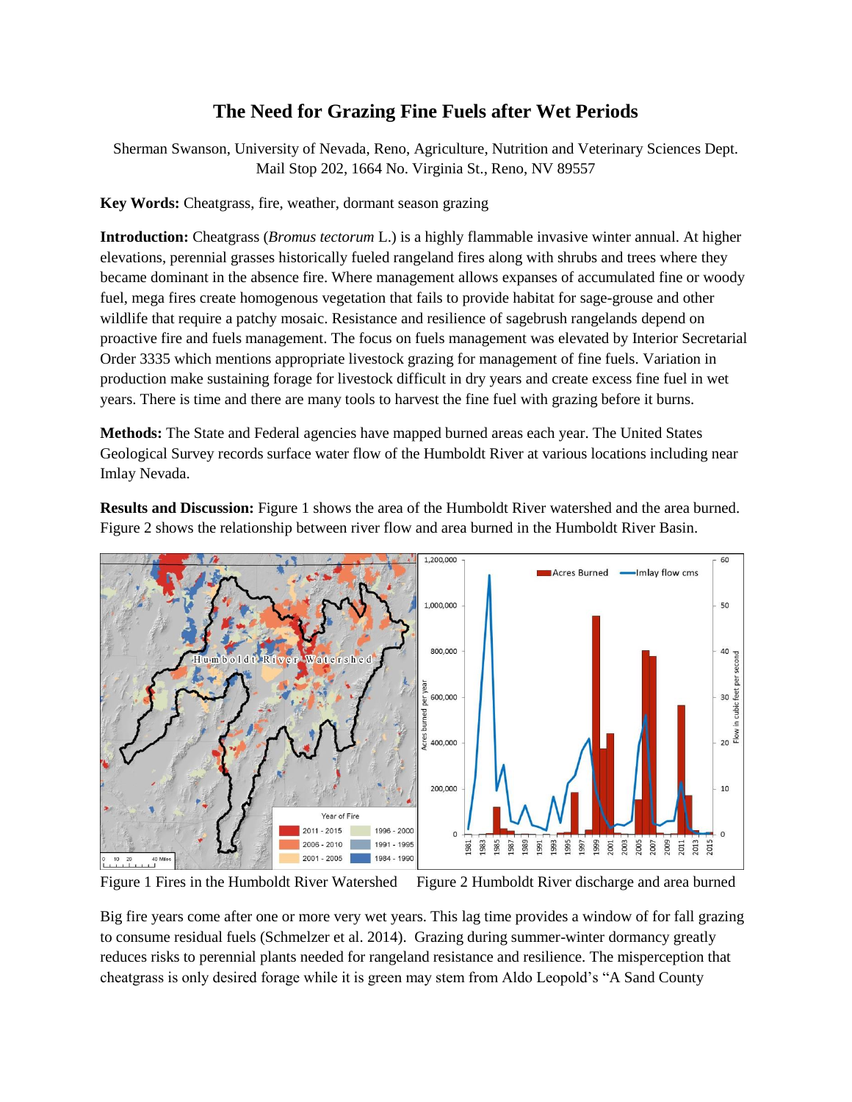## **The Need for Grazing Fine Fuels after Wet Periods**

Sherman Swanson, University of Nevada, Reno, Agriculture, Nutrition and Veterinary Sciences Dept. Mail Stop 202, 1664 No. Virginia St., Reno, NV 89557

**Key Words:** Cheatgrass, fire, weather, dormant season grazing

**Introduction:** Cheatgrass (*Bromus tectorum* L.) is a highly flammable invasive winter annual. At higher elevations, perennial grasses historically fueled rangeland fires along with shrubs and trees where they became dominant in the absence fire. Where management allows expanses of accumulated fine or woody fuel, mega fires create homogenous vegetation that fails to provide habitat for sage-grouse and other wildlife that require a patchy mosaic. Resistance and resilience of sagebrush rangelands depend on proactive fire and fuels management. The focus on fuels management was elevated by Interior Secretarial Order 3335 which mentions appropriate livestock grazing for management of fine fuels. Variation in production make sustaining forage for livestock difficult in dry years and create excess fine fuel in wet years. There is time and there are many tools to harvest the fine fuel with grazing before it burns.

**Methods:** The State and Federal agencies have mapped burned areas each year. The United States Geological Survey records surface water flow of the Humboldt River at various locations including near Imlay Nevada.

**Results and Discussion:** Figure 1 shows the area of the Humboldt River watershed and the area burned. Figure 2 shows the relationship between river flow and area burned in the Humboldt River Basin.



Figure 1 Fires in the Humboldt River Watershed Figure 2 Humboldt River discharge and area burned

Big fire years come after one or more very wet years. This lag time provides a window of for fall grazing to consume residual fuels (Schmelzer et al. 2014). Grazing during summer-winter dormancy greatly reduces risks to perennial plants needed for rangeland resistance and resilience. The misperception that cheatgrass is only desired forage while it is green may stem from Aldo Leopold's "A Sand County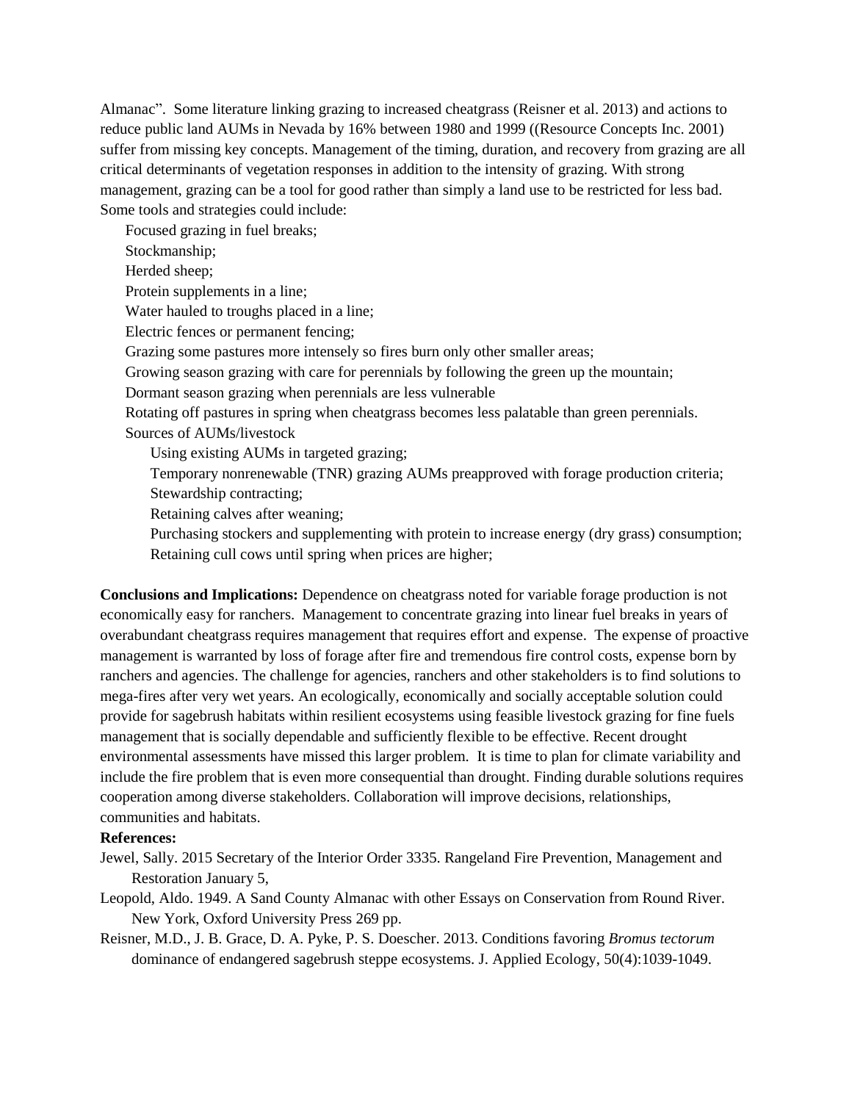Almanac". Some literature linking grazing to increased cheatgrass (Reisner et al. 2013) and actions to reduce public land AUMs in Nevada by 16% between 1980 and 1999 ((Resource Concepts Inc. 2001) suffer from missing key concepts. Management of the timing, duration, and recovery from grazing are all critical determinants of vegetation responses in addition to the intensity of grazing. With strong management, grazing can be a tool for good rather than simply a land use to be restricted for less bad. Some tools and strategies could include:

Focused grazing in fuel breaks; Stockmanship; Herded sheep; Protein supplements in a line; Water hauled to troughs placed in a line; Electric fences or permanent fencing; Grazing some pastures more intensely so fires burn only other smaller areas; Growing season grazing with care for perennials by following the green up the mountain; Dormant season grazing when perennials are less vulnerable Rotating off pastures in spring when cheatgrass becomes less palatable than green perennials. Sources of AUMs/livestock Using existing AUMs in targeted grazing; Temporary nonrenewable (TNR) grazing AUMs preapproved with forage production criteria; Stewardship contracting; Retaining calves after weaning; Purchasing stockers and supplementing with protein to increase energy (dry grass) consumption;

Retaining cull cows until spring when prices are higher;

**Conclusions and Implications:** Dependence on cheatgrass noted for variable forage production is not economically easy for ranchers. Management to concentrate grazing into linear fuel breaks in years of overabundant cheatgrass requires management that requires effort and expense. The expense of proactive management is warranted by loss of forage after fire and tremendous fire control costs, expense born by ranchers and agencies. The challenge for agencies, ranchers and other stakeholders is to find solutions to mega-fires after very wet years. An ecologically, economically and socially acceptable solution could provide for sagebrush habitats within resilient ecosystems using feasible livestock grazing for fine fuels management that is socially dependable and sufficiently flexible to be effective. Recent drought environmental assessments have missed this larger problem. It is time to plan for climate variability and include the fire problem that is even more consequential than drought. Finding durable solutions requires cooperation among diverse stakeholders. Collaboration will improve decisions, relationships, communities and habitats.

## **References:**

- Jewel, Sally. 2015 Secretary of the Interior Order 3335. Rangeland Fire Prevention, Management and Restoration January 5,
- Leopold, Aldo. 1949. A Sand County Almanac with other Essays on Conservation from Round River. New York, Oxford University Press 269 pp.
- Reisner, M.D., J. B. Grace, D. A. Pyke, P. S. Doescher. 2013. Conditions favoring *Bromus tectorum* dominance of endangered sagebrush steppe ecosystems. J. Applied Ecology, 50(4):1039-1049.